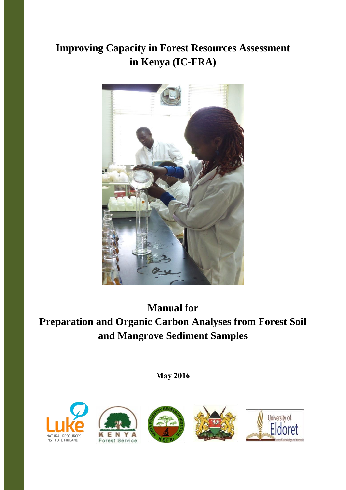# **Improving Capacity in Forest Resources Assessment in Kenya (IC-FRA)**



**Manual for Preparation and Organic Carbon Analyses from Forest Soil and Mangrove Sediment Samples**

**May 2016**









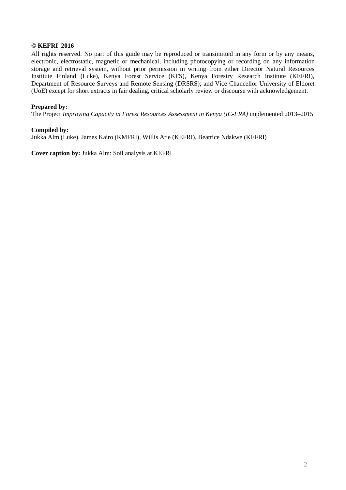#### **© KEFRI 2016**

All rights reserved. No part of this guide may be reproduced or transimitted in any form or by any means, electronic, electrostatic, magnetic or mechanical, including photocopying or recording on any information storage and retrieval system, without prior permission in writing from either Director Natural Resources Institute Finland (Luke), Kenya Forest Service (KFS), Kenya Forestry Research Institute (KEFRI), Department of Resource Surveys and Remote Sensing (DRSRS); and Vice Chancellor University of Eldoret (UoE) except for short extracts in fair dealing, critical scholarly review or discourse with acknowledgement.

#### **Prepared by:**

The Project *Improving Capacity in Forest Resources Assessment in Kenya (IC-FRA)* implemented 2013–2015

#### **Compiled by:**

Jukka Alm (Luke), James Kairo (KMFRI), Willis Atie (KEFRI), Beatrice Ndakwe (KEFRI)

**Cover caption by:** Jukka Alm: Soil analysis at KEFRI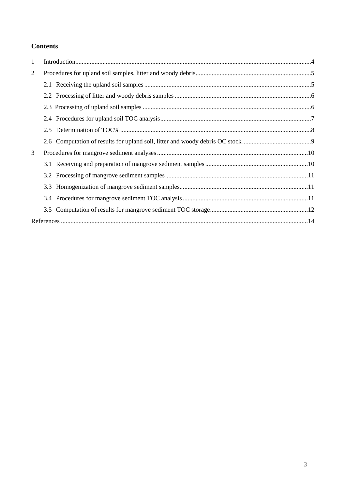## **Contents**

| $\mathbf{1}$ |  |  |  |  |  |
|--------------|--|--|--|--|--|
| 2            |  |  |  |  |  |
|              |  |  |  |  |  |
|              |  |  |  |  |  |
|              |  |  |  |  |  |
|              |  |  |  |  |  |
|              |  |  |  |  |  |
|              |  |  |  |  |  |
| 3            |  |  |  |  |  |
|              |  |  |  |  |  |
|              |  |  |  |  |  |
|              |  |  |  |  |  |
|              |  |  |  |  |  |
|              |  |  |  |  |  |
|              |  |  |  |  |  |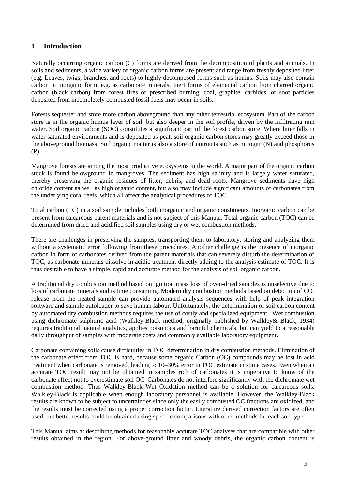## <span id="page-3-0"></span>**1 Introduction**

Naturally occurring organic carbon (C) forms are derived from the decomposition of plants and animals. In soils and sediments, a wide variety of organic carbon forms are present and range from freshly deposited litter (e.g. Leaves, twigs, branches, and roots) to highly decomposed forms such as humus. Soils may also contain carbon in inorganic form, e.g. as carbonate minerals. Inert forms of elemental carbon from charred organic carbon (black carbon) from forest fires or prescribed burning, coal, graphite, carbides, or soot particles deposited from incompletely combusted fossil fuels may occur in soils.

Forests sequester and store more carbon aboveground than any other terrestrial ecosystem. Part of the carbon store is in the organic humus layer of soil, but also deeper in the soil profile, driven by the infiltrating rain water. Soil organic carbon (SOC) constitutes a significant part of the forest carbon store. Where litter falls in water saturated environments and is deposited as peat, soil organic carbon stores may greatly exceed those in the aboveground biomass. Soil organic matter is also a store of nutrients such as nitrogen (N) and phosphorus (P).

Mangrove forests are among the most productive ecosystems in the world. A major part of the organic carbon stock is found belowground in mangroves. The sediment has high salinity and is largely water saturated, thereby preserving the organic residues of litter, debris, and dead roots. Mangrove sediments have high chloride content as well as high organic content, but also may include significant amounts of carbonates from the underlying coral reefs, which all affect the analytical procedures of TOC.

Total carbon (TC) in a soil sample includes both inorganic and organic constituents. Inorganic carbon can be present from calcareous parent materials and is not subject of this Manual. Total organic carbon (TOC) can be determined from dried and acidified soil samples using dry or wet combustion methods.

There are challenges in preserving the samples, transporting them to laboratory, storing and analyzing them without a systematic error following from these procedures. Another challenge is the presence of inorganic carbon in form of carbonates derived from the parent materials that can severely disturb the determination of TOC, as carbonate minerals dissolve in acidic treatment directly adding to the analysis estimate of TOC. It is thus desirable to have a simple, rapid and accurate method for the analysis of soil organic carbon.

A traditional dry combustion method based on ignition mass loss of oven-dried samples is unselective due to loss of carbonate minerals and is time consuming. Modern dry combustion methods based on detection of  $CO<sub>2</sub>$ release from the heated sample can provide automated analysis sequences with help of peak integration software and sample autoloader to save human labour. Unfortunately, the determination of soil carbon content by automated dry combustion methods requires the use of costly and specialized equipment. Wet combustion using dichromate sulphuric acid (Walkley-Black method, originally published by Walkley& Black, 1934) requires traditional manual analytics, applies poisonous and harmful chemicals, but can yield to a reasonable daily throughput of samples with moderate costs and commonly available laboratory equipment.

Carbonate containing soils cause difficulties in TOC determination in dry combustion methods. Elimination of the carbonate effect from TOC is hard, because some organic Carbon (OC) compounds may be lost in acid treatment when carbonate is removed, leading to 10–30% error in TOC estimate in some cases. Even when an accurate TOC result may not be obtained in samples rich of carbonates it is imperative to know of the carbonate effect not to overestimate soil OC. Carbonates do not interfere significantly with the dichromate wet combustion method. Thus Walkley-Black Wet Oxidation method can be a solution for calcareous soils. Walkley-Black is applicable when enough laboratory personnel is available. However, the Walkley-Black results are known to be subject to uncertainties since only the easily combusted OC fractions are oxidized, and the results must be corrected using a proper correction factor. Literature derived correction factors are often used, but better results could be obtained using specific comparisons with other methods for each soil type.

This Manual aims at describing methods for reasonably accurate TOC analyses that are compatible with other results obtained in the region. For above-ground litter and woody debris, the organic carbon content is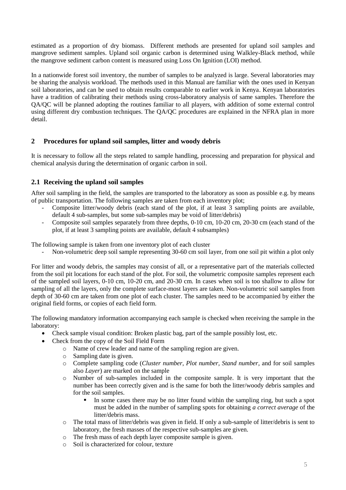estimated as a proportion of dry biomass. Different methods are presented for upland soil samples and mangrove sediment samples. Upland soil organic carbon is determined using Walkley-Black method, while the mangrove sediment carbon content is measured using Loss On Ignition (LOI) method.

In a nationwide forest soil inventory, the number of samples to be analyzed is large. Several laboratories may be sharing the analysis workload. The methods used in this Manual are familiar with the ones used in Kenyan soil laboratories, and can be used to obtain results comparable to earlier work in Kenya. Kenyan laboratories have a tradition of calibrating their methods using cross-laboratory analysis of same samples. Therefore the QA/QC will be planned adopting the routines familiar to all players, with addition of some external control using different dry combustion techniques. The QA/QC procedures are explained in the NFRA plan in more detail.

## <span id="page-4-0"></span>**2 Procedures for upland soil samples, litter and woody debris**

It is necessary to follow all the steps related to sample handling, processing and preparation for physical and chemical analysis during the determination of organic carbon in soil.

## <span id="page-4-1"></span>**2.1 Receiving the upland soil samples**

After soil sampling in the field, the samples are transported to the laboratory as soon as possible e.g. by means of public transportation. The following samples are taken from each inventory plot;

- Composite litter/woody debris (each stand of the plot, if at least 3 sampling points are available, default 4 sub-samples, but some sub-samples may be void of litter/debris)
- Composite soil samples separately from three depths, 0-10 cm, 10-20 cm, 20-30 cm (each stand of the plot, if at least 3 sampling points are available, default 4 subsamples)

The following sample is taken from one inventory plot of each cluster

- Non-volumetric deep soil sample representing 30-60 cm soil layer, from one soil pit within a plot only

For litter and woody debris, the samples may consist of all, or a representative part of the materials collected from the soil pit locations for each stand of the plot. For soil, the volumetric composite samples represent each of the sampled soil layers, 0-10 cm, 10-20 cm, and 20-30 cm. In cases when soil is too shallow to allow for sampling of all the layers, only the complete surface-most layers are taken. Non-volumetric soil samples from depth of 30-60 cm are taken from one plot of each cluster. The samples need to be accompanied by either the original field forms, or copies of each field form.

The following mandatory information accompanying each sample is checked when receiving the sample in the laboratory:

- Check sample visual condition: Broken plastic bag, part of the sample possibly lost, etc.
- Check from the copy of the Soil Field Form
	- o Name of crew leader and name of the sampling region are given.
	- o Sampling date is given.
	- o Complete sampling code (*Cluster number, Plot number, Stand number,* and for soil samples also *Layer*) are marked on the sample
	- o Number of sub-samples included in the composite sample. It is very important that the number has been correctly given and is the same for both the litter/woody debris samples and for the soil samples.
		- In some cases there may be no litter found within the sampling ring, but such a spot must be added in the number of sampling spots for obtaining *a correct average* of the litter/debris mass.
	- $\circ$  The total mass of litter/debris was given in field. If only a sub-sample of litter/debris is sent to laboratory, the fresh masses of the respective sub-samples are given.
	- o The fresh mass of each depth layer composite sample is given.
	- o Soil is characterized for colour, texture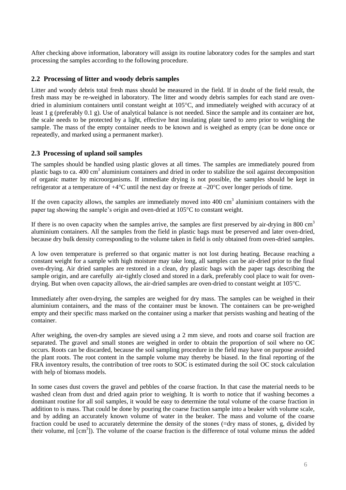After checking above information, laboratory will assign its routine laboratory codes for the samples and start processing the samples according to the following procedure.

## <span id="page-5-0"></span>**2.2 Processing of litter and woody debris samples**

Litter and woody debris total fresh mass should be measured in the field. If in doubt of the field result, the fresh mass may be re-weighed in laboratory. The litter and woody debris samples for each stand are ovendried in aluminium containers until constant weight at  $105^{\circ}$ C, and immediately weighed with accuracy of at least 1 g (preferably 0.1 g). Use of analytical balance is not needed. Since the sample and its container are hot, the scale needs to be protected by a light, effective heat insulating plate tared to zero prior to weighing the sample. The mass of the empty container needs to be known and is weighed as empty (can be done once or repeatedly, and marked using a permanent marker).

## <span id="page-5-1"></span>**2.3 Processing of upland soil samples**

The samples should be handled using plastic gloves at all times. The samples are immediately poured from plastic bags to ca. 400 cm<sup>3</sup> aluminium containers and dried in order to stabilize the soil against decomposition of organic matter by microorganisms. If immediate drying is not possible, the samples should be kept in refrigerator at a temperature of  $+4^{\circ}$ C until the next day or freeze at  $-20^{\circ}$ C over longer periods of time.

If the oven capacity allows, the samples are immediately moved into  $400 \text{ cm}^3$  aluminium containers with the paper tag showing the sample's origin and oven-dried at 105C to constant weight.

If there is no oven capacity when the samples arrive, the samples are first preserved by air-drying in 800  $cm<sup>3</sup>$ aluminium containers. All the samples from the field in plastic bags must be preserved and later oven-dried, because dry bulk density corresponding to the volume taken in field is only obtained from oven-dried samples.

A low oven temperature is preferred so that organic matter is not lost during heating. Because reaching a constant weight for a sample with high moisture may take long, all samples can be air-dried prior to the final oven-drying. Air dried samples are restored in a clean, dry plastic bags with the paper tags describing the sample origin, and are carefully air-tightly closed and stored in a dark, preferably cool place to wait for ovendrying. But when oven capacity allows, the air-dried samples are oven-dried to constant weight at  $105^{\circ}$ C.

Immediately after oven-drying, the samples are weighed for dry mass. The samples can be weighed in their aluminium containers, and the mass of the container must be known. The containers can be pre-weighed empty and their specific mass marked on the container using a marker that persists washing and heating of the container.

After weighing, the oven-dry samples are sieved using a 2 mm sieve, and roots and coarse soil fraction are separated. The gravel and small stones are weighed in order to obtain the proportion of soil where no OC occurs. Roots can be discarded, because the soil sampling procedure in the field may have on purpose avoided the plant roots. The root content in the sample volume may thereby be biased. In the final reporting of the FRA inventory results, the contribution of tree roots to SOC is estimated during the soil OC stock calculation with help of biomass models.

In some cases dust covers the gravel and pebbles of the coarse fraction. In that case the material needs to be washed clean from dust and dried again prior to weighing. It is worth to notice that if washing becomes a dominant routine for all soil samples, it would be easy to determine the total volume of the coarse fraction in addition to is mass. That could be done by pouring the coarse fraction sample into a beaker with volume scale, and by adding an accurately known volume of water in the beaker. The mass and volume of the coarse fraction could be used to accurately determine the density of the stones (=dry mass of stones, g, divided by their volume, ml [cm<sup>3</sup>]). The volume of the coarse fraction is the difference of total volume minus the added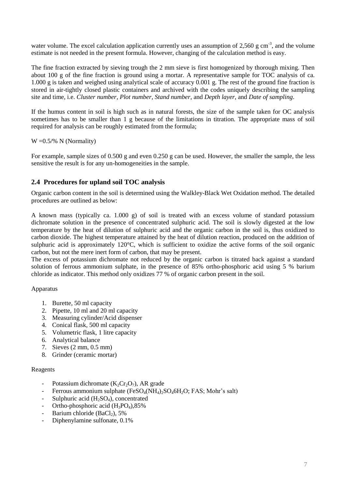water volume. The excel calculation application currently uses an assumption of 2,560 g cm<sup>-3</sup>, and the volume estimate is not needed in the present formula. However, changing of the calculation method is easy.

The fine fraction extracted by sieving trough the 2 mm sieve is first homogenized by thorough mixing. Then about 100 g of the fine fraction is ground using a mortar. A representative sample for TOC analysis of ca. 1.000 g is taken and weighed using analytical scale of accuracy 0.001 g. The rest of the ground fine fraction is stored in air-tightly closed plastic containers and archived with the codes uniquely describing the sampling site and time, i.e. *Cluster number, Plot number, Stand number,* and *Depth layer*, and *Date of sampling*.

If the humus content in soil is high such as in natural forests, the size of the sample taken for OC analysis sometimes has to be smaller than 1 g because of the limitations in titration. The appropriate mass of soil required for analysis can be roughly estimated from the formula;

 $W = 0.5$ /% N (Normality)

For example, sample sizes of 0.500 g and even 0.250 g can be used. However, the smaller the sample, the less sensitive the result is for any un-homogeneities in the sample.

## <span id="page-6-0"></span>**2.4 Procedures for upland soil TOC analysis**

Organic carbon content in the soil is determined using the Walkley-Black Wet Oxidation method. The detailed procedures are outlined as below:

A known mass (typically ca. 1.000 g) of soil is treated with an excess volume of standard potassium dichromate solution in the presence of concentrated sulphuric acid. The soil is slowly digested at the low temperature by the heat of dilution of sulphuric acid and the organic carbon in the soil is, thus oxidized to carbon dioxide. The highest temperature attained by the heat of dilution reaction, produced on the addition of sulphuric acid is approximately 120°C, which is sufficient to oxidize the active forms of the soil organic carbon, but not the mere inert form of carbon, that may be present.

The excess of potassium dichromate not reduced by the organic carbon is titrated back against a standard solution of ferrous ammonium sulphate, in the presence of 85% ortho-phosphoric acid using 5 % barium chloride as indicator. This method only oxidizes 77 % of organic carbon present in the soil.

#### Apparatus

- 1. Burette, 50 ml capacity
- 2. Pipette, 10 ml and 20 ml capacity
- 3. Measuring cylinder/Acid dispenser
- 4. Conical flask, 500 ml capacity
- 5. Volumetric flask, 1 litre capacity
- 6. Analytical balance
- 7. Sieves (2 mm, 0.5 mm)
- 8. Grinder (ceramic mortar)

#### Reagents

- Potassium dichromate  $(K_2Cr_2O_7)$ , AR grade
- Ferrous ammonium sulphate  $(FeSO_4(NH_4)_2SO_46H_2O; FAS; Mohr's salt)$
- Sulphuric acid  $(H_2SO_4)$ , concentrated
- Ortho-phosphoric acid  $(H_3PO_4)$ , 85%
- Barium chloride (BaCl<sub>2</sub>), 5%
- Diphenylamine sulfonate, 0.1%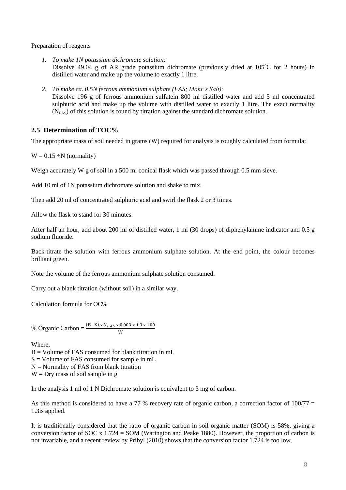Preparation of reagents

- *1. To make 1N potassium dichromate solution:* Dissolve 49.04 g of AR grade potassium dichromate (previously dried at  $105^{\circ}$ C for 2 hours) in distilled water and make up the volume to exactly 1 litre.
- *2. To make ca. 0.5N ferrous ammonium sulphate (FAS; Mohr's Salt):* Dissolve 196 g of ferrous ammonium sulfatein 800 ml distilled water and add 5 ml concentrated sulphuric acid and make up the volume with distilled water to exactly 1 litre. The exact normality  $(N<sub>FAS</sub>)$  of this solution is found by titration against the standard dichromate solution.

## <span id="page-7-0"></span>**2.5 Determination of TOC%**

The appropriate mass of soil needed in grams (W) required for analysis is roughly calculated from formula:

 $W = 0.15 \div N$  (normality)

Weigh accurately W g of soil in a 500 ml conical flask which was passed through 0.5 mm sieve.

Add 10 ml of 1N potassium dichromate solution and shake to mix.

Then add 20 ml of concentrated sulphuric acid and swirl the flask 2 or 3 times.

Allow the flask to stand for 30 minutes.

After half an hour, add about 200 ml of distilled water, 1 ml (30 drops) of diphenylamine indicator and 0.5 g sodium fluoride.

Back-titrate the solution with ferrous ammonium sulphate solution. At the end point, the colour becomes brilliant green.

Note the volume of the ferrous ammonium sulphate solution consumed.

Carry out a blank titration (without soil) in a similar way.

Calculation formula for OC%

% Organic Carbon =  $\frac{(B-S) \times N_{FAS} \times 0.003 \times 1.3 \times 100}{W}$ 

Where,

B = Volume of FAS consumed for blank titration in mL

 $S =$  Volume of FAS consumed for sample in mL

 $N =$  Normality of FAS from blank titration

 $W = Drv$  mass of soil sample in g

In the analysis 1 ml of 1 N Dichromate solution is equivalent to 3 mg of carbon.

As this method is considered to have a 77 % recovery rate of organic carbon, a correction factor of  $100/77 =$ 1.3is applied.

It is traditionally considered that the ratio of organic carbon in soil organic matter (SOM) is 58%, giving a conversion factor of SOC  $x 1.724 = SOM$  (Warington and Peake 1880). However, the proportion of carbon is not invariable, and a recent review by Pribyl (2010) shows that the conversion factor 1.724 is too low.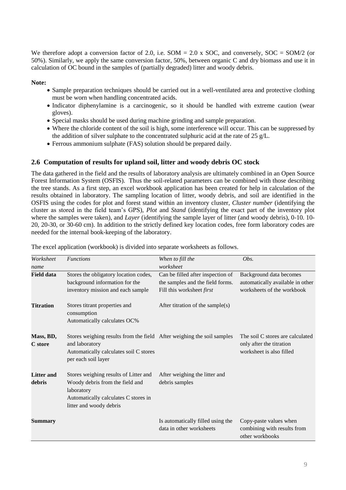We therefore adopt a conversion factor of 2.0, i.e.  $SOM = 2.0$  x SOC, and conversely,  $SOC = SOM/2$  (or 50%). Similarly, we apply the same conversion factor, 50%, between organic C and dry biomass and use it in calculation of OC bound in the samples of (partially degraded) litter and woody debris.

**Note:**

- Sample preparation techniques should be carried out in a well-ventilated area and protective clothing must be worn when handling concentrated acids.
- Indicator diphenylamine is a carcinogenic, so it should be handled with extreme caution (wear gloves).
- Special masks should be used during machine grinding and sample preparation.
- Where the chloride content of the soil is high, some interference will occur. This can be suppressed by the addition of silver sulphate to the concentrated sulphuric acid at the rate of 25 g/L.
- Ferrous ammonium sulphate (FAS) solution should be prepared daily.

## <span id="page-8-0"></span>**2.6 Computation of results for upland soil, litter and woody debris OC stock**

The data gathered in the field and the results of laboratory analysis are ultimately combined in an Open Source Forest Information System (OSFIS). Thus the soil-related parameters can be combined with those describing the tree stands. As a first step, an excel workbook application has been created for help in calculation of the results obtained in laboratory. The sampling location of litter, woody debris, and soil are identified in the OSFIS using the codes for plot and forest stand within an inventory cluster, *Cluster number* (identifying the cluster as stored in the field team's GPS), *Plot* and *Stand* (identifying the exact part of the inventory plot where the samples were taken), and *Layer* (identifying the sample layer of litter (and woody debris), 0-10. 10-20, 20-30, or 30-60 cm). In addition to the strictly defined key location codes, free form laboratory codes are needed for the internal book-keeping of the laboratory.

| Worksheet                   | <b>Functions</b>                                                                                                                                          | When to fill the                                              | Obs.                                                                                     |
|-----------------------------|-----------------------------------------------------------------------------------------------------------------------------------------------------------|---------------------------------------------------------------|------------------------------------------------------------------------------------------|
| name                        |                                                                                                                                                           | worksheet                                                     |                                                                                          |
| <b>Field data</b>           | Stores the obligatory location codes,                                                                                                                     | Can be filled after inspection of                             | Background data becomes                                                                  |
|                             | background information for the                                                                                                                            | the samples and the field forms.                              | automatically available in other                                                         |
|                             | inventory mission and each sample                                                                                                                         | Fill this worksheet first                                     | worksheets of the workbook                                                               |
| <b>Titration</b>            | Stores titrant properties and<br>consumption<br>Automatically calculates OC%                                                                              | After titration of the sample(s)                              |                                                                                          |
| Mass, BD,<br>C store        | Stores weighing results from the field After weighing the soil samples<br>and laboratory<br>Automatically calculates soil C stores<br>per each soil layer |                                                               | The soil C stores are calculated<br>only after the titration<br>worksheet is also filled |
| <b>Litter and</b><br>debris | Stores weighing results of Litter and<br>Woody debris from the field and<br>laboratory<br>Automatically calculates C stores in<br>litter and woody debris | After weighing the litter and<br>debris samples               |                                                                                          |
| Summary                     |                                                                                                                                                           | Is automatically filled using the<br>data in other worksheets | Copy-paste values when<br>combining with results from<br>other workbooks                 |

The excel application (workbook) is divided into separate worksheets as follows.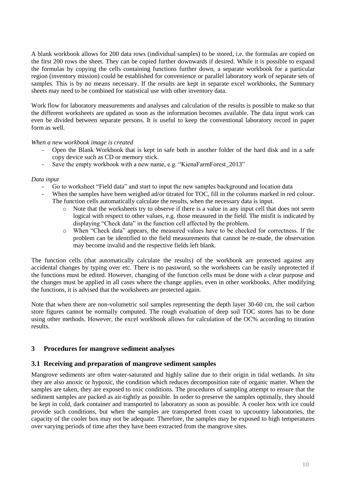A blank workbook allows for 200 data rows (individual samples) to be stored, i.e. the formulas are copied on the first 200 rows the sheet. They can be copied further downwards if desired. While it is possible to expand the formulas by copying the cells containing functions further down, a separate workbook for a particular region (inventory mission) could be established for convenience or parallel laboratory work of separate sets of samples. This is by no means necessary. If the results are kept in separate excel workbooks, the Summary sheets may need to be combined for statistical use with other inventory data.

Work flow for laboratory measurements and analyses and calculation of the results is possible to make so that the different worksheets are updated as soon as the information becomes available. The data input work can even be divided between separate persons. It is useful to keep the conventional laboratory record in paper form as well.

*When a new workbook image is created*

- Open the Blank Workbook that is kept in safe both in another folder of the hard disk and in a safe copy device such as CD or memory stick.
- Save the empty workbook with a new name, e.g. "KienaFarmForest 2013"

#### *Data input*

- Go to worksheet "Field data" and start to input the new samples background and location data
- When the samples have been weighed ad/or titrated for TOC, fill in the columns marked in red colour. The function cells automatically calculate the results, when the necessary data is input.
	- o Note that the worksheets try to observe if there is a value in any input cell that does not seem logical with respect to other values, e.g. those measured in the field. The misfit is indicated by displaying "Check data" in the function cell affected by the problem.
	- o When "Check data" appears, the measured values have to be checked for correctness. If the problem can be identified to the field measurements that cannot be re-made, the observation may become invalid and the respective fields left blank.

The function cells (that automatically calculate the results) of the workbook are protected against any accidental changes by typing over etc. There is no password, so the worksheets can be easily unprotected if the functions must be edited. However, changing of the function cells must be done with a clear purpose and the changes must be applied in all cases where the change applies, even in other workbooks. After modifying the functions, it is advised that the worksheets are protected again.

Note that when there are non-volumetric soil samples representing the depth layer 30-60 cm, the soil carbon store figures cannot be normally computed. The rough evaluation of deep soil TOC stores has to be done using other methods. However, the excel workbook allows for calculation of the OC% according to titration results.

## <span id="page-9-0"></span>**3 Procedures for mangrove sediment analyses**

## <span id="page-9-1"></span>**3.1 Receiving and preparation of mangrove sediment samples**

Mangrove sediments are often water-saturated and highly saline due to their origin in tidal wetlands. *In situ* they are also anoxic or hypoxic, the condition which reduces decomposition rate of organic matter. When the samples are taken, they are exposed to oxic conditions. The procedures of sampling attempt to ensure that the sediment samples are packed as air-tightly as possible. In order to preserve the samples optimally, they should be kept in cold, dark container and transported to laboratory as soon as possible. A cooler box with ice could provide such conditions, but when the samples are transported from coast to upcountry laboratories, the capacity of the cooler box may not be adequate. Therefore, the samples may be exposed to high temperatures over varying periods of time after they have been extracted from the mangrove sites.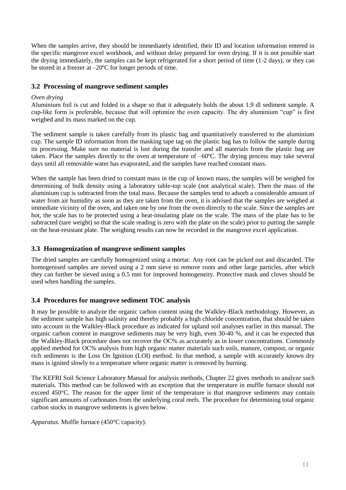When the samples arrive, they should be immediately identified, their ID and location information entered in the specific mangrove excel workbook, and without delay prepared for oven drying. If it is not possible start the drying immediately, the samples can be kept refrigerated for a short period of time (1-2 days), or they can be stored in a freezer at –20ºC for longer periods of time.

## <span id="page-10-0"></span>**3.2 Processing of mangrove sediment samples**

#### *Oven drying*

Aluminium foil is cut and folded in a shape so that it adequately holds the about 1.9 dl sediment sample. A cup-like form is preferable, because that will optimize the oven capacity. The dry aluminium "cup" is first weighed and its mass marked on the cup.

The sediment sample is taken carefully from its plastic bag and quantitatively transferred to the aluminium cup. The sample ID information from the masking tape tag on the plastic bag has to follow the sample during its processing. Make sure no material is lost during the transfer and all materials from the plastic bag are taken. Place the samples directly to the oven at temperature of –60ºC. The drying process may take several days until all removable water has evaporated, and the samples have reached constant mass.

When the sample has been dried to constant mass in the cup of known mass, the samples will be weighed for determining of bulk density using a laboratory table-top scale (not analytical scale). Then the mass of the aluminium cup is subtracted from the total mass. Because the samples tend to adsorb a considerable amount of water from air humidity as soon as they are taken from the oven, it is advised that the samples are weighed at immediate vicinity of the oven, and taken one by one from the oven directly to the scale. Since the samples are hot, the scale has to be protected using a heat-insulating plate on the scale. The mass of the plate has to be subtracted (tare weight) so that the scale reading is zero with the plate on the scale) prior to putting the sample on the heat-resistant plate. The weighing results can now be recorded in the mangrove excel application.

## <span id="page-10-1"></span>**3.3 Homogenization of mangrove sediment samples**

The dried samples are carefully homogenized using a mortar. Any root can be picked out and discarded. The homogenised samples are sieved using a 2 mm sieve to remove roots and other large particles, after which they can further be sieved using a 0.5 mm for improved homogeneity. Protective mask and cloves should be used when handling the samples.

## <span id="page-10-2"></span>**3.4 Procedures for mangrove sediment TOC analysis**

It may be possible to analyze the organic carbon content using the Walkley-Black methodology. However, as the sediment sample has high salinity and thereby probably a high chloride concentration, that should be taken into account in the Walkley-Black procedure as indicated for upland soil analyses earlier in this manual. The organic carbon content in mangrove sediments may be very high, even 30-40 %, and it can be expected that the Walkley-Black procedure does not recover the OC% as accurately as in lower concentrations. Commonly applied method for OC% analysis from high organic matter materials such soils, manure, compost, or organic rich sediments is the Loss On Ignition (LOI) method. In that method, a sample with accurately known dry mass is ignited slowly to a temperature where organic matter is removed by burning.

The KEFRI Soil Science Laboratory Manual for analysis methods, Chapter 22 gives methods to analyze such materials. This method can be followed with an exception that the temperature in muffle furnace should not exceed 450°C. The reason for the upper limit of the temperature is that mangrove sediments may contain significant amounts of carbonates from the underlying coral reefs. The procedure for determining total organic carbon stocks in mangrove sediments is given below.

*Apparatus.* Muffle furnace (450°C capacity).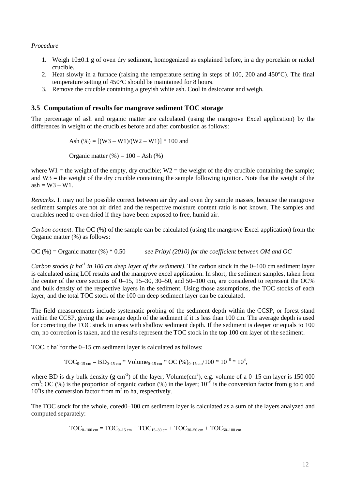#### *Procedure*

- 1. Weigh 10±0.1 g of oven dry sediment, homogenized as explained before, in a dry porcelain or nickel crucible.
- 2. Heat slowly in a furnace (raising the temperature setting in steps of 100, 200 and  $450^{\circ}$ C). The final temperature setting of 450°C should be maintained for 8 hours.
- 3. Remove the crucible containing a greyish white ash. Cool in desiccator and weigh.

#### <span id="page-11-0"></span>**3.5 Computation of results for mangrove sediment TOC storage**

The percentage of ash and organic matter are calculated (using the mangrove Excel application) by the differences in weight of the crucibles before and after combustion as follows:

$$
Ash (%) = [(W3 - W1)/(W2 - W1)] * 100 and
$$

Organic matter  $(\% ) = 100 - \text{Ash } (\% )$ 

where  $W1$  = the weight of the empty, dry crucible;  $W2$  = the weight of the dry crucible containing the sample; and W3 = the weight of the dry crucible containing the sample following ignition. Note that the weight of the  $ash = W3 - W1$ .

*Remarks*. It may not be possible correct between air dry and oven dry sample masses, because the mangrove sediment samples are not air dried and the respective moisture content ratio is not known. The samples and crucibles need to oven dried if they have been exposed to free, humid air.

*Carbon content*. The OC (%) of the sample can be calculated (using the mangrove Excel application) from the Organic matter (%) as follows:

OC (%) = Organic matter (%) \* 0.50 *see Pribyl (2010) for the coefficient between OM and OC*

*Carbon stocks (t ha-1 in 100 cm deep layer of the sediment)*. The carbon stock in the 0–100 cm sediment layer is calculated using LOI results and the mangrove excel application. In short, the sediment samples, taken from the center of the core sections of 0–15, 15–30, 30–50, and 50–100 cm, are considered to represent the OC% and bulk density of the respective layers in the sediment. Using those assumptions, the TOC stocks of each layer, and the total TOC stock of the 100 cm deep sediment layer can be calculated.

The field measurements include systematic probing of the sediment depth within the CCSP, or forest stand within the CCSP, giving the average depth of the sediment if it is less than 100 cm. The average depth is used for correcting the TOC stock in areas with shallow sediment depth. If the sediment is deeper or equals to 100 cm, no correction is taken, and the results represent the TOC stock in the top 100 cm layer of the sediment.

TOC, t ha<sup>-1</sup> for the  $0$ -15 cm sediment layer is calculated as follows:

 $TOC_{0-15 \text{ cm}} = BD_{0-15 \text{ cm}}$  \*  $Volume_{0-15 \text{ cm}}$  \*  $OC (%)_{0-15 \text{ cm}}/100$  \*  $10^{-6}$  \*  $10^{4}$ ,

where BD is dry bulk density (g cm<sup>-3</sup>) of the layer; Volume(cm<sup>3</sup>), e.g. volume of a 0–15 cm layer is 150 000 cm<sup>3</sup>; OC (%) is the proportion of organic carbon (%) in the layer;  $10^{-\delta}$  is the conversion factor from g to t; and  $10<sup>4</sup>$  is the conversion factor from  $m<sup>2</sup>$  to ha, respectively.

The TOC stock for the whole, cored0–100 cm sediment layer is calculated as a sum of the layers analyzed and computed separately:

$$
TOC_{0-100 \text{ cm}} = TOC_{0-15 \text{ cm}} + TOC_{15-30 \text{ cm}} + TOC_{30-50 \text{ cm}} + TOC_{50-100 \text{ cm}}
$$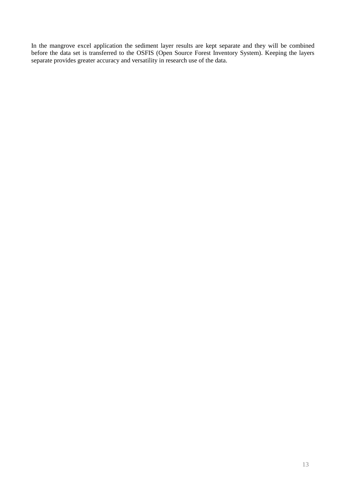In the mangrove excel application the sediment layer results are kept separate and they will be combined before the data set is transferred to the OSFIS (Open Source Forest Inventory System). Keeping the layers separate provides greater accuracy and versatility in research use of the data.